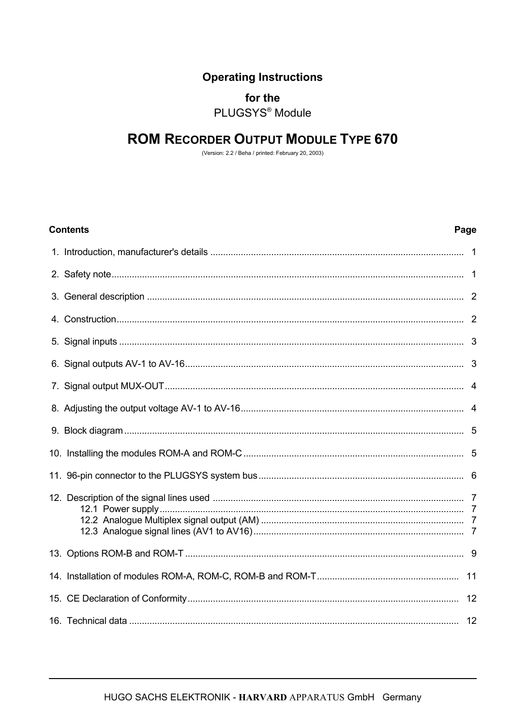# **Operating Instructions**

## for the

PLUGSYS<sup>®</sup> Module

# **ROM RECORDER OUTPUT MODULE TYPE 670**

(Version: 2.2 / Beha / printed: February 20, 2003)

| <b>Contents</b> | Page |
|-----------------|------|
|                 |      |
|                 |      |
|                 |      |
|                 |      |
|                 |      |
|                 |      |
|                 |      |
|                 |      |
|                 |      |
|                 |      |
|                 |      |
|                 |      |
|                 |      |
|                 |      |
|                 |      |
|                 |      |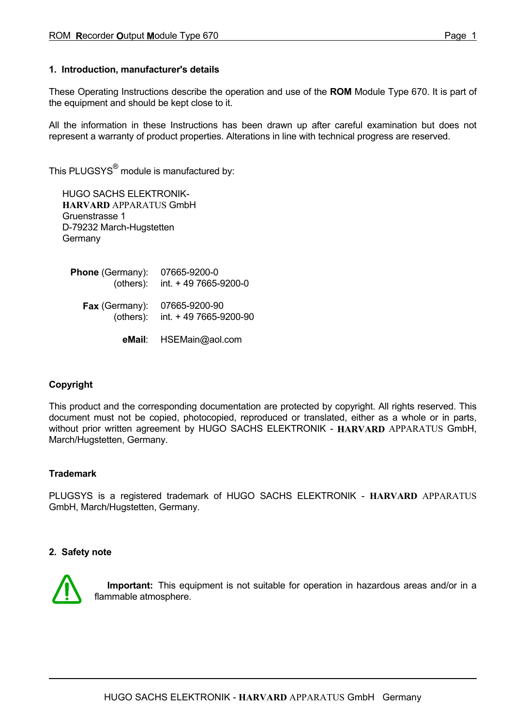#### **1. Introduction, manufacturer's details**

These Operating Instructions describe the operation and use of the **ROM** Module Type 670. It is part of the equipment and should be kept close to it.

All the information in these Instructions has been drawn up after careful examination but does not represent a warranty of product properties. Alterations in line with technical progress are reserved.

This PLUGSYS $^{\circledR}$  module is manufactured by:

HUGO SACHS ELEKTRONIK-  **HARVARD** APPARATUS GmbH Gruenstrasse 1 D-79232 March-Hugstetten **Germany** 

 **Phone** (Germany): 07665-9200-0 (others): int. + 49 7665-9200-0  **Fax** (Germany): 07665-9200-90 (others): int. + 49 7665-9200-90

 **eMail**: HSEMain@aol.com

## **Copyright**

This product and the corresponding documentation are protected by copyright. All rights reserved. This document must not be copied, photocopied, reproduced or translated, either as a whole or in parts, without prior written agreement by HUGO SACHS ELEKTRONIK - **HARVARD** APPARATUS GmbH, March/Hugstetten, Germany.

## **Trademark**

PLUGSYS is a registered trademark of HUGO SACHS ELEKTRONIK - **HARVARD** APPARATUS GmbH, March/Hugstetten, Germany.

#### **2. Safety note**



 **Important:** This equipment is not suitable for operation in hazardous areas and/or in a flammable atmosphere.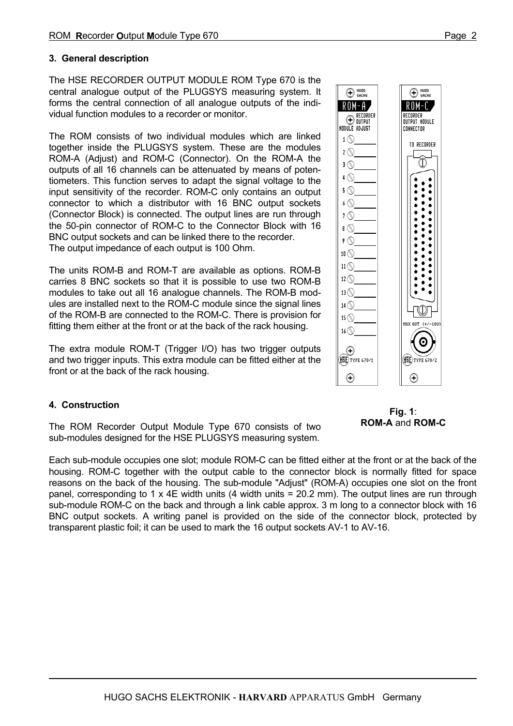## **3. General description**

The HSE RECORDER OUTPUT MODULE ROM Type 670 is the central analogue output of the PLUGSYS measuring system. It forms the central connection of all analogue outputs of the individual function modules to a recorder or monitor.

The ROM consists of two individual modules which are linked together inside the PLUGSYS system. These are the modules ROM-A (Adjust) and ROM-C (Connector). On the ROM-A the outputs of all 16 channels can be attenuated by means of potentiometers. This function serves to adapt the signal voltage to the input sensitivity of the recorder. ROM-C only contains an output connector to which a distributor with 16 BNC output sockets (Connector Block) is connected. The output lines are run through the 50-pin connector of ROM-C to the Connector Block with 16 BNC output sockets and can be linked there to the recorder. The output impedance of each output is 100 Ohm.

The units ROM-B and ROM-T are available as options. ROM-B carries 8 BNC sockets so that it is possible to use two ROM-B modules to take out all 16 analogue channels. The ROM-B modules are installed next to the ROM-C module since the signal lines of the ROM-B are connected to the ROM-C. There is provision for fitting them either at the front or at the back of the rack housing.

The extra module ROM-T (Trigger I/O) has two trigger outputs and two trigger inputs. This extra module can be fitted either at the front or at the back of the rack housing.

## **4. Construction**

The ROM Recorder Output Module Type 670 consists of two sub-modules designed for the HSE PLUGSYS measuring system.

Each sub-module occupies one slot; module ROM-C can be fitted either at the front or at the back of the housing. ROM-C together with the output cable to the connector block is normally fitted for space reasons on the back of the housing. The sub-module "Adjust" (ROM-A) occupies one slot on the front panel, corresponding to 1 x 4E width units (4 width units =  $20.2$  mm). The output lines are run through sub-module ROM-C on the back and through a link cable approx. 3 m long to a connector block with 16 BNC output sockets. A writing panel is provided on the side of the connector block, protected by transparent plastic foil; it can be used to mark the 16 output sockets AV-1 to AV-16.



**Fig. 1**: **ROM-A** and **ROM-C**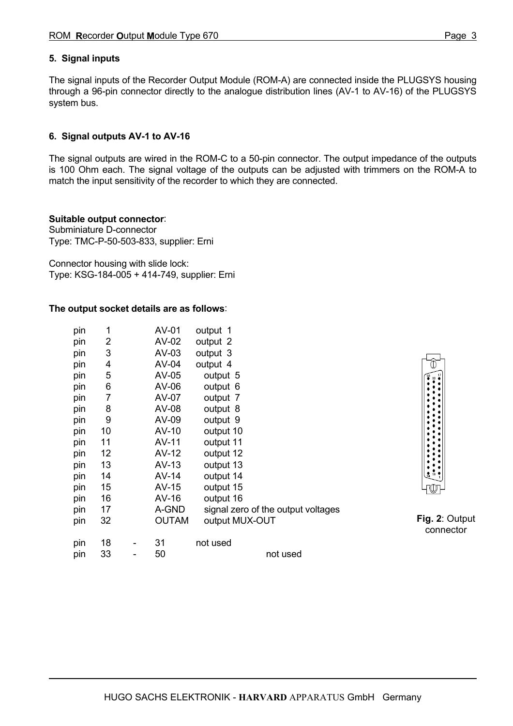## **5. Signal inputs**

The signal inputs of the Recorder Output Module (ROM-A) are connected inside the PLUGSYS housing through a 96-pin connector directly to the analogue distribution lines (AV-1 to AV-16) of the PLUGSYS system bus.

## **6. Signal outputs AV-1 to AV-16**

The signal outputs are wired in the ROM-C to a 50-pin connector. The output impedance of the outputs is 100 Ohm each. The signal voltage of the outputs can be adjusted with trimmers on the ROM-A to match the input sensitivity of the recorder to which they are connected.

#### **Suitable output connector**:

Subminiature D-connector Type: TMC-P-50-503-833, supplier: Erni

Connector housing with slide lock: Type: KSG-184-005 + 414-749, supplier: Erni

#### **The output socket details are as follows**:

| pin | 1  | AV-01        | output 1                           |
|-----|----|--------------|------------------------------------|
| pin | 2  | AV-02        | output 2                           |
| pin | 3  | $AV-03$      | output 3                           |
| pin | 4  | AV-04        | output 4                           |
| pin | 5  | AV-05        | output 5                           |
| pin | 6  | AV-06        | output 6                           |
| pin | 7  | AV-07        | output 7                           |
| pin | 8  | AV-08        | output 8                           |
| pin | 9  | AV-09        | output 9                           |
| pin | 10 | AV-10        | output 10                          |
| pin | 11 | AV-11        | output 11                          |
| pin | 12 | AV-12        | output 12                          |
| pin | 13 | $AV-13$      | output 13                          |
| pin | 14 | $AV-14$      | output 14                          |
| pin | 15 | $AV-15$      | output 15                          |
| pin | 16 | $AV-16$      | output 16                          |
| pin | 17 | A-GND        | signal zero of the output voltages |
| pin | 32 | <b>OUTAM</b> | output MUX-OUT                     |
| pin | 18 | 31           | not used                           |
| pin | 33 | 50           | not used                           |



**Fig. 2**: Output connector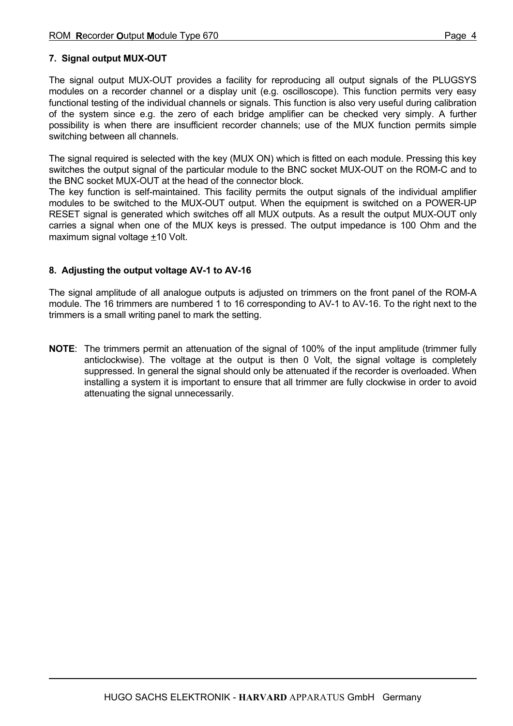## **7. Signal output MUX-OUT**

The signal output MUX-OUT provides a facility for reproducing all output signals of the PLUGSYS modules on a recorder channel or a display unit (e.g. oscilloscope). This function permits very easy functional testing of the individual channels or signals. This function is also very useful during calibration of the system since e.g. the zero of each bridge amplifier can be checked very simply. A further possibility is when there are insufficient recorder channels; use of the MUX function permits simple switching between all channels.

The signal required is selected with the key (MUX ON) which is fitted on each module. Pressing this key switches the output signal of the particular module to the BNC socket MUX-OUT on the ROM-C and to the BNC socket MUX-OUT at the head of the connector block.

The key function is self-maintained. This facility permits the output signals of the individual amplifier modules to be switched to the MUX-OUT output. When the equipment is switched on a POWER-UP RESET signal is generated which switches off all MUX outputs. As a result the output MUX-OUT only carries a signal when one of the MUX keys is pressed. The output impedance is 100 Ohm and the maximum signal voltage  $±10$  Volt.

## **8. Adjusting the output voltage AV-1 to AV-16**

The signal amplitude of all analogue outputs is adjusted on trimmers on the front panel of the ROM-A module. The 16 trimmers are numbered 1 to 16 corresponding to AV-1 to AV-16. To the right next to the trimmers is a small writing panel to mark the setting.

**NOTE**: The trimmers permit an attenuation of the signal of 100% of the input amplitude (trimmer fully anticlockwise). The voltage at the output is then 0 Volt, the signal voltage is completely suppressed. In general the signal should only be attenuated if the recorder is overloaded. When installing a system it is important to ensure that all trimmer are fully clockwise in order to avoid attenuating the signal unnecessarily.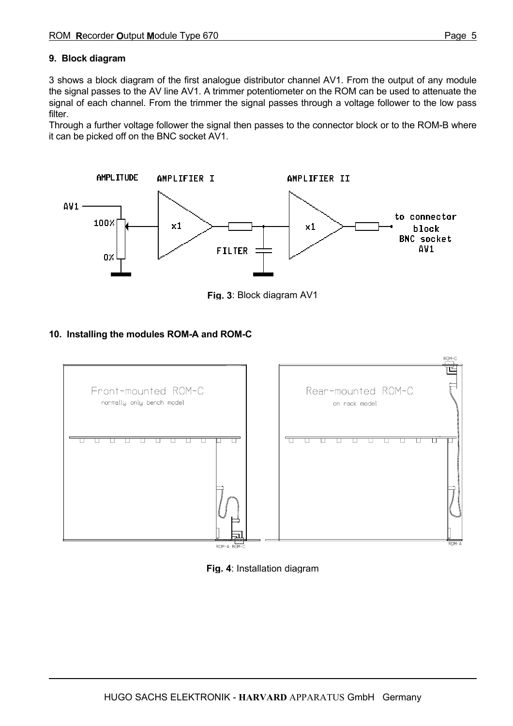## **9. Block diagram**

3 shows a block diagram of the first analogue distributor channel AV1. From the output of any module the signal passes to the AV line AV1. A trimmer potentiometer on the ROM can be used to attenuate the signal of each channel. From the trimmer the signal passes through a voltage follower to the low pass filter.

Through a further voltage follower the signal then passes to the connector block or to the ROM-B where it can be picked off on the BNC socket AV1.



**Fig. 3**: Block diagram AV1

## **10. Installing the modules ROM-A and ROM-C**



**Fig. 4**: Installation diagram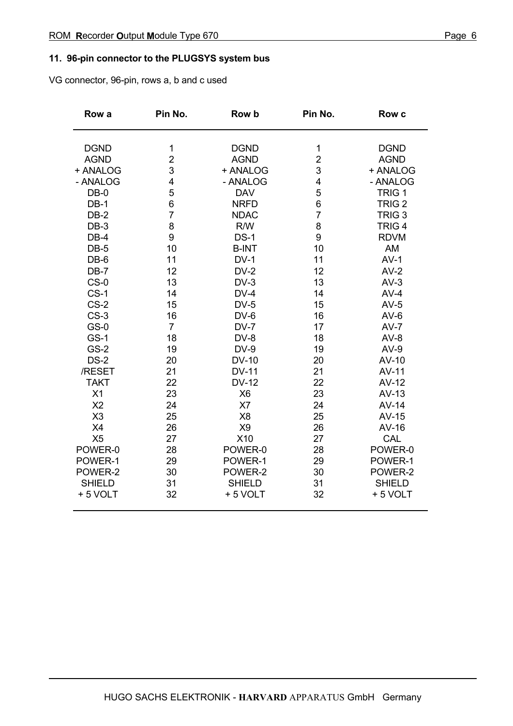## **11. 96-pin connector to the PLUGSYS system bus**

VG connector, 96-pin, rows a, b and c used

| Row a          | Pin No.        | Row b          | Pin No.        | <b>Row c</b>      |
|----------------|----------------|----------------|----------------|-------------------|
| <b>DGND</b>    | 1              | <b>DGND</b>    | 1              | <b>DGND</b>       |
| <b>AGND</b>    | $\overline{2}$ | <b>AGND</b>    | $\overline{2}$ | <b>AGND</b>       |
| + ANALOG       | 3              | + ANALOG       | 3              | + ANALOG          |
| - ANALOG       | 4              | - ANALOG       | 4              | - ANALOG          |
| $DB-0$         | 5              | <b>DAV</b>     | 5              | TRIG <sub>1</sub> |
| $DB-1$         | 6              | <b>NRFD</b>    | 6              | TRIG <sub>2</sub> |
| $DB-2$         | $\overline{7}$ | <b>NDAC</b>    | $\overline{7}$ | TRIG <sub>3</sub> |
| $DB-3$         | 8              | R/W            | 8              | TRIG <sub>4</sub> |
| $DB-4$         | 9              | $DS-1$         | 9              | <b>RDVM</b>       |
| $DB-5$         | 10             | <b>B-INT</b>   | 10             | AM                |
| DB-6           | 11             | $DV-1$         | 11             | $AV-1$            |
| $DB-7$         | 12             | $DV-2$         | 12             | $AV-2$            |
| $CS-0$         | 13             | $DV-3$         | 13             | $AV-3$            |
| $CS-1$         | 14             | $DV-4$         | 14             | $AV-4$            |
| $CS-2$         | 15             | $DV-5$         | 15             | $AV-5$            |
| $CS-3$         | 16             | $DV-6$         | 16             | $AV-6$            |
| $GS-0$         | $\overline{7}$ | $DV-7$         | 17             | $AV-7$            |
| $GS-1$         | 18             | DV-8           | 18             | $AV-8$            |
| <b>GS-2</b>    | 19             | $DV-9$         | 19             | $AV-9$            |
| $DS-2$         | 20             | <b>DV-10</b>   | 20             | AV-10             |
| /RESET         | 21             | <b>DV-11</b>   | 21             | AV-11             |
| <b>TAKT</b>    | 22             | <b>DV-12</b>   | 22             | $AV-12$           |
| X1             | 23             | X <sub>6</sub> | 23             | $AV-13$           |
| X <sub>2</sub> | 24             | X7             | 24             | $AV-14$           |
| X3             | 25             | X <sub>8</sub> | 25             | $AV-15$           |
| X4             | 26             | X <sub>9</sub> | 26             | AV-16             |
| X <sub>5</sub> | 27             | X10            | 27             | CAL               |
| POWER-0        | 28             | POWER-0        | 28             | POWER-0           |
| POWER-1        | 29             | POWER-1        | 29             | POWER-1           |
| POWER-2        | 30             | POWER-2        | 30             | POWER-2           |
| <b>SHIELD</b>  | 31             | <b>SHIELD</b>  | 31             | <b>SHIELD</b>     |
| +5 VOLT        | 32             | +5 VOLT        | 32             | +5 VOLT           |
|                |                |                |                |                   |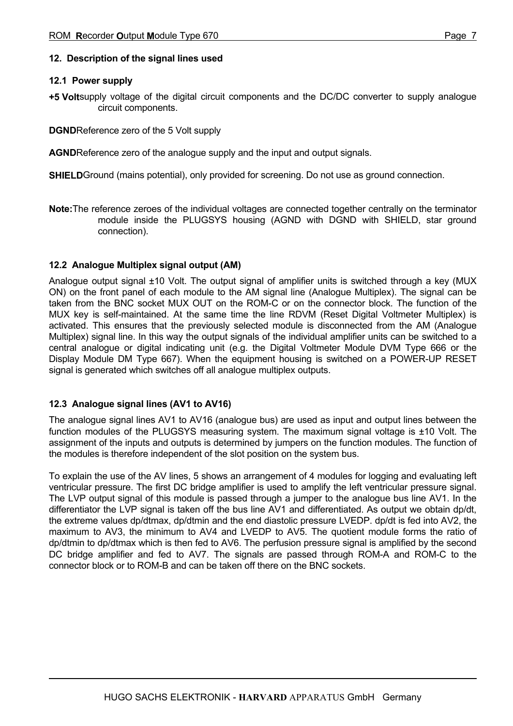## **12. Description of the signal lines used**

## **12.1 Power supply**

**+5 Volt**supply voltage of the digital circuit components and the DC/DC converter to supply analogue circuit components.

**DGND**Reference zero of the 5 Volt supply

**AGND**Reference zero of the analogue supply and the input and output signals.

**SHIELD**Ground (mains potential), only provided for screening. Do not use as ground connection.

**Note:**The reference zeroes of the individual voltages are connected together centrally on the terminator module inside the PLUGSYS housing (AGND with DGND with SHIELD, star ground connection).

## **12.2 Analogue Multiplex signal output (AM)**

Analogue output signal ±10 Volt. The output signal of amplifier units is switched through a key (MUX ON) on the front panel of each module to the AM signal line (Analogue Multiplex). The signal can be taken from the BNC socket MUX OUT on the ROM-C or on the connector block. The function of the MUX key is self-maintained. At the same time the line RDVM (Reset Digital Voltmeter Multiplex) is activated. This ensures that the previously selected module is disconnected from the AM (Analogue Multiplex) signal line. In this way the output signals of the individual amplifier units can be switched to a central analogue or digital indicating unit (e.g. the Digital Voltmeter Module DVM Type 666 or the Display Module DM Type 667). When the equipment housing is switched on a POWER-UP RESET signal is generated which switches off all analogue multiplex outputs.

## **12.3 Analogue signal lines (AV1 to AV16)**

The analogue signal lines AV1 to AV16 (analogue bus) are used as input and output lines between the function modules of the PLUGSYS measuring system. The maximum signal voltage is  $\pm$ 10 Volt. The assignment of the inputs and outputs is determined by jumpers on the function modules. The function of the modules is therefore independent of the slot position on the system bus.

To explain the use of the AV lines, 5 shows an arrangement of 4 modules for logging and evaluating left ventricular pressure. The first DC bridge amplifier is used to amplify the left ventricular pressure signal. The LVP output signal of this module is passed through a jumper to the analogue bus line AV1. In the differentiator the LVP signal is taken off the bus line AV1 and differentiated. As output we obtain dp/dt, the extreme values dp/dtmax, dp/dtmin and the end diastolic pressure LVEDP. dp/dt is fed into AV2, the maximum to AV3, the minimum to AV4 and LVEDP to AV5. The quotient module forms the ratio of dp/dtmin to dp/dtmax which is then fed to AV6. The perfusion pressure signal is amplified by the second DC bridge amplifier and fed to AV7. The signals are passed through ROM-A and ROM-C to the connector block or to ROM-B and can be taken off there on the BNC sockets.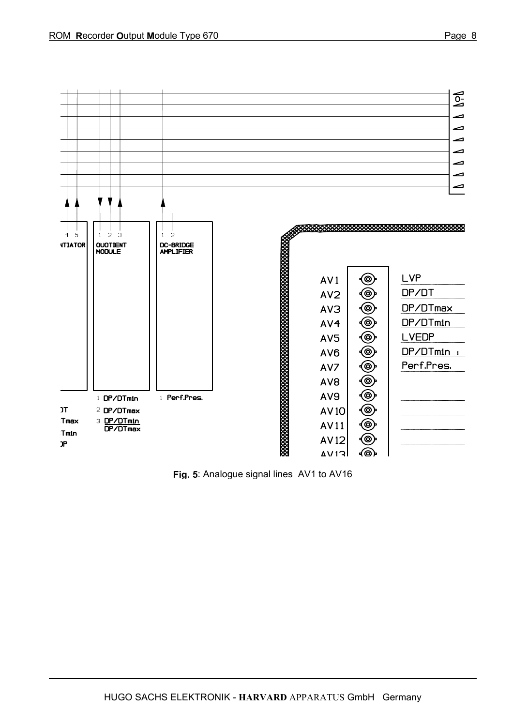

**Fig. 5**: Analogue signal lines AV1 to AV16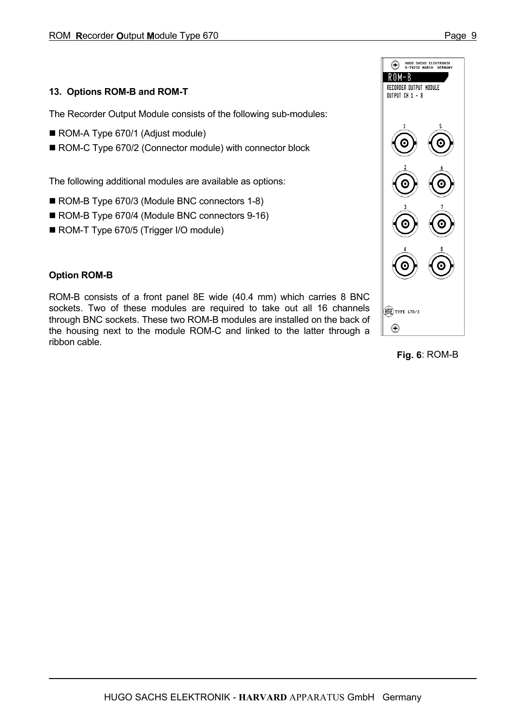## **13. Options ROM-B and ROM-T**

The Recorder Output Module consists of the following sub-modules:

- ROM-A Type 670/1 (Adjust module)
- ROM-C Type 670/2 (Connector module) with connector block

The following additional modules are available as options:

- ROM-B Type 670/3 (Module BNC connectors 1-8)
- ROM-B Type 670/4 (Module BNC connectors 9-16)
- ROM-T Type 670/5 (Trigger I/O module)

## **Option ROM-B**

ROM-B consists of a front panel 8E wide (40.4 mm) which carries 8 BNC sockets. Two of these modules are required to take out all 16 channels through BNC sockets. These two ROM-B modules are installed on the back of the housing next to the module ROM-C and linked to the latter through a ribbon cable.



**Fig. 6**: ROM-B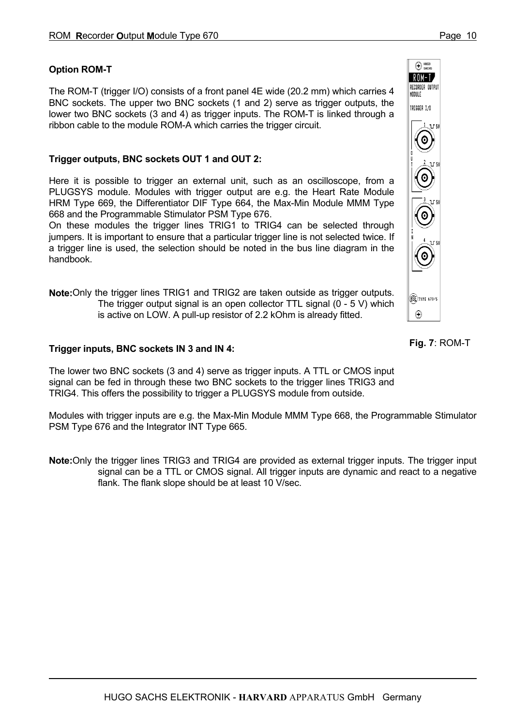## **Option ROM-T**

The ROM-T (trigger I/O) consists of a front panel 4E wide (20.2 mm) which carries 4 BNC sockets. The upper two BNC sockets (1 and 2) serve as trigger outputs, the lower two BNC sockets (3 and 4) as trigger inputs. The ROM-T is linked through a ribbon cable to the module ROM-A which carries the trigger circuit.

## **Trigger outputs, BNC sockets OUT 1 and OUT 2:**

Here it is possible to trigger an external unit, such as an oscilloscope, from a PLUGSYS module. Modules with trigger output are e.g. the Heart Rate Module HRM Type 669, the Differentiator DIF Type 664, the Max-Min Module MMM Type 668 and the Programmable Stimulator PSM Type 676.

On these modules the trigger lines TRIG1 to TRIG4 can be selected through jumpers. It is important to ensure that a particular trigger line is not selected twice. If a trigger line is used, the selection should be noted in the bus line diagram in the handbook.

**Note:**Only the trigger lines TRIG1 and TRIG2 are taken outside as trigger outputs. The trigger output signal is an open collector TTL signal (0 - 5 V) which is active on LOW. A pull-up resistor of 2.2 kOhm is already fitted.

## **Trigger inputs, BNC sockets IN 3 and IN 4:**

The lower two BNC sockets (3 and 4) serve as trigger inputs. A TTL or CMOS input signal can be fed in through these two BNC sockets to the trigger lines TRIG3 and TRIG4. This offers the possibility to trigger a PLUGSYS module from outside.

Modules with trigger inputs are e.g. the Max-Min Module MMM Type 668, the Programmable Stimulator PSM Type 676 and the Integrator INT Type 665.

**Note:**Only the trigger lines TRIG3 and TRIG4 are provided as external trigger inputs. The trigger input signal can be a TTL or CMOS signal. All trigger inputs are dynamic and react to a negative flank. The flank slope should be at least 10 V/sec.



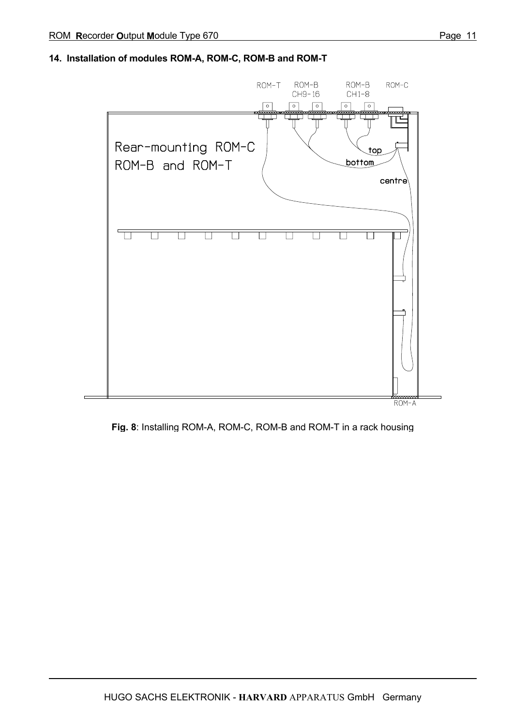## **14. Installation of modules ROM-A, ROM-C, ROM-B and ROM-T**



ROM-A

**Fig. 8**: Installing ROM-A, ROM-C, ROM-B and ROM-T in a rack housing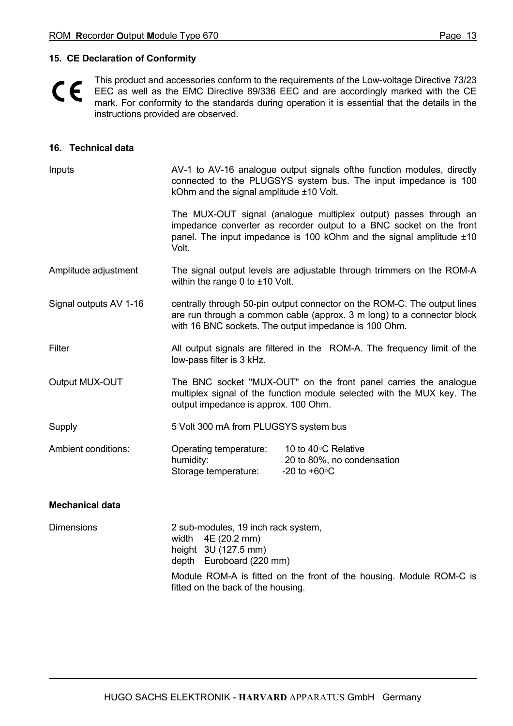## **15. CE Declaration of Conformity**

 $C \in$ 

This product and accessories conform to the requirements of the Low-voltage Directive 73/23 EEC as well as the EMC Directive 89/336 EEC and are accordingly marked with the CE mark. For conformity to the standards during operation it is essential that the details in the instructions provided are observed.

## **16. Technical data**

| Inputs                 | AV-1 to AV-16 analogue output signals of the function modules, directly<br>connected to the PLUGSYS system bus. The input impedance is 100<br>kOhm and the signal amplitude ±10 Volt.                       |                                                                                                                                                                                                                |  |  |
|------------------------|-------------------------------------------------------------------------------------------------------------------------------------------------------------------------------------------------------------|----------------------------------------------------------------------------------------------------------------------------------------------------------------------------------------------------------------|--|--|
|                        | Volt.                                                                                                                                                                                                       | The MUX-OUT signal (analogue multiplex output) passes through an<br>impedance converter as recorder output to a BNC socket on the front<br>panel. The input impedance is 100 kOhm and the signal amplitude ±10 |  |  |
| Amplitude adjustment   | within the range 0 to $\pm$ 10 Volt.                                                                                                                                                                        | The signal output levels are adjustable through trimmers on the ROM-A                                                                                                                                          |  |  |
| Signal outputs AV 1-16 | centrally through 50-pin output connector on the ROM-C. The output lines<br>are run through a common cable (approx. 3 m long) to a connector block<br>with 16 BNC sockets. The output impedance is 100 Ohm. |                                                                                                                                                                                                                |  |  |
| Filter                 | low-pass filter is 3 kHz.                                                                                                                                                                                   | All output signals are filtered in the ROM-A. The frequency limit of the                                                                                                                                       |  |  |
| Output MUX-OUT         | output impedance is approx. 100 Ohm.                                                                                                                                                                        | The BNC socket "MUX-OUT" on the front panel carries the analogue<br>multiplex signal of the function module selected with the MUX key. The                                                                     |  |  |
| Supply                 | 5 Volt 300 mA from PLUGSYS system bus                                                                                                                                                                       |                                                                                                                                                                                                                |  |  |
| Ambient conditions:    | Operating temperature:<br>humidity:<br>Storage temperature:                                                                                                                                                 | 10 to 40°C Relative<br>20 to 80%, no condensation<br>-20 to $+60^{\circ}$ C                                                                                                                                    |  |  |
| <b>Mechanical data</b> |                                                                                                                                                                                                             |                                                                                                                                                                                                                |  |  |
| <b>Dimensions</b>      | 2 sub-modules, 19 inch rack system,<br>4E (20.2 mm)<br>width<br>height 3U (127.5 mm)<br>depth Euroboard (220 mm)                                                                                            |                                                                                                                                                                                                                |  |  |

Module ROM-A is fitted on the front of the housing. Module ROM-C is fitted on the back of the housing.